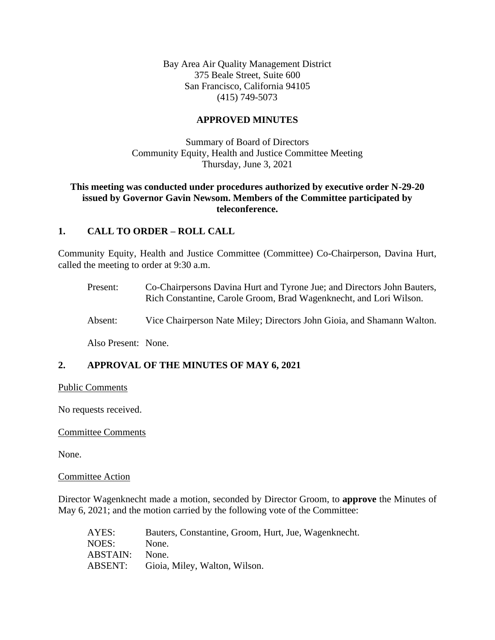Bay Area Air Quality Management District 375 Beale Street, Suite 600 San Francisco, California 94105 (415) 749-5073

## **APPROVED MINUTES**

Summary of Board of Directors Community Equity, Health and Justice Committee Meeting Thursday, June 3, 2021

## **This meeting was conducted under procedures authorized by executive order N-29-20 issued by Governor Gavin Newsom. Members of the Committee participated by teleconference.**

## **1. CALL TO ORDER – ROLL CALL**

Community Equity, Health and Justice Committee (Committee) Co-Chairperson, Davina Hurt, called the meeting to order at 9:30 a.m.

- Present: Co-Chairpersons Davina Hurt and Tyrone Jue; and Directors John Bauters, Rich Constantine, Carole Groom, Brad Wagenknecht, and Lori Wilson.
- Absent: Vice Chairperson Nate Miley; Directors John Gioia, and Shamann Walton.

Also Present: None.

## **2. APPROVAL OF THE MINUTES OF MAY 6, 2021**

#### Public Comments

No requests received.

#### Committee Comments

None.

#### Committee Action

Director Wagenknecht made a motion, seconded by Director Groom, to **approve** the Minutes of May 6, 2021; and the motion carried by the following vote of the Committee:

| AYES:    | Bauters, Constantine, Groom, Hurt, Jue, Wagenknecht. |
|----------|------------------------------------------------------|
| NOES:    | None.                                                |
| ABSTAIN: | None.                                                |
| ABSENT:  | Gioia, Miley, Walton, Wilson.                        |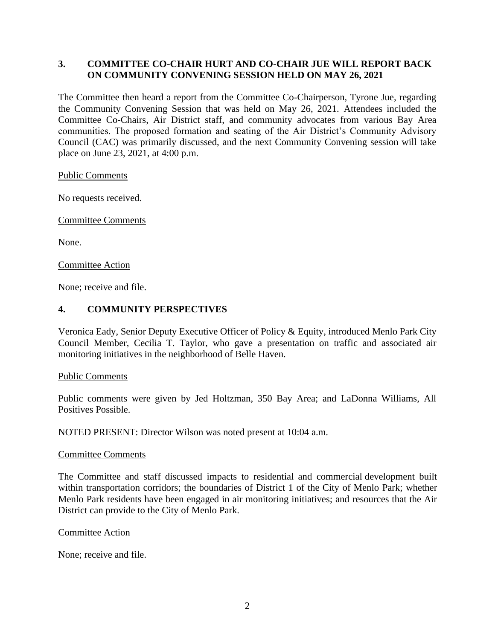## **3. COMMITTEE CO-CHAIR HURT AND CO-CHAIR JUE WILL REPORT BACK ON COMMUNITY CONVENING SESSION HELD ON MAY 26, 2021**

The Committee then heard a report from the Committee Co-Chairperson, Tyrone Jue, regarding the Community Convening Session that was held on May 26, 2021. Attendees included the Committee Co-Chairs, Air District staff, and community advocates from various Bay Area communities. The proposed formation and seating of the Air District's Community Advisory Council (CAC) was primarily discussed, and the next Community Convening session will take place on June 23, 2021, at 4:00 p.m.

Public Comments

No requests received.

Committee Comments

None.

Committee Action

None; receive and file.

## **4. COMMUNITY PERSPECTIVES**

Veronica Eady, Senior Deputy Executive Officer of Policy & Equity, introduced Menlo Park City Council Member, Cecilia T. Taylor, who gave a presentation on traffic and associated air monitoring initiatives in the neighborhood of Belle Haven.

Public Comments

Public comments were given by Jed Holtzman, 350 Bay Area; and LaDonna Williams, All Positives Possible.

NOTED PRESENT: Director Wilson was noted present at 10:04 a.m.

#### Committee Comments

The Committee and staff discussed impacts to residential and commercial development built within transportation corridors; the boundaries of District 1 of the City of Menlo Park; whether Menlo Park residents have been engaged in air monitoring initiatives; and resources that the Air District can provide to the City of Menlo Park.

#### Committee Action

None; receive and file.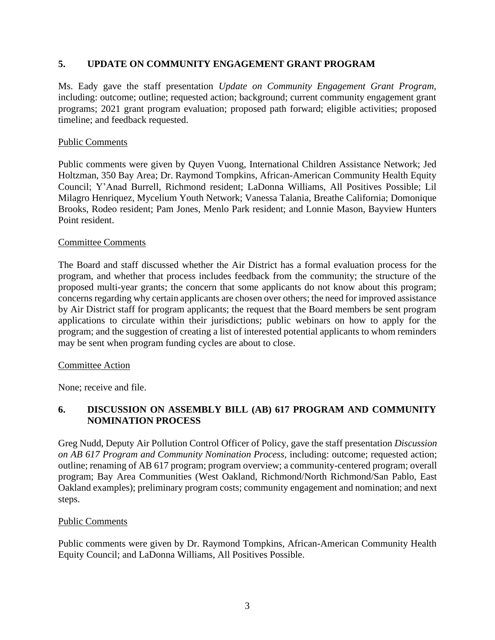## **5. UPDATE ON COMMUNITY ENGAGEMENT GRANT PROGRAM**

Ms. Eady gave the staff presentation *Update on Community Engagement Grant Program,* including: outcome; outline; requested action; background; current community engagement grant programs; 2021 grant program evaluation; proposed path forward; eligible activities; proposed timeline; and feedback requested.

### Public Comments

Public comments were given by Quyen Vuong, International Children Assistance Network; Jed Holtzman, 350 Bay Area; Dr. Raymond Tompkins, African-American Community Health Equity Council; Y'Anad Burrell, Richmond resident; LaDonna Williams, All Positives Possible; Lil Milagro Henriquez, Mycelium Youth Network; Vanessa Talania, Breathe California; Domonique Brooks, Rodeo resident; Pam Jones, Menlo Park resident; and Lonnie Mason, Bayview Hunters Point resident.

#### Committee Comments

The Board and staff discussed whether the Air District has a formal evaluation process for the program, and whether that process includes feedback from the community; the structure of the proposed multi-year grants; the concern that some applicants do not know about this program; concerns regarding why certain applicants are chosen over others; the need for improved assistance by Air District staff for program applicants; the request that the Board members be sent program applications to circulate within their jurisdictions; public webinars on how to apply for the program; and the suggestion of creating a list of interested potential applicants to whom reminders may be sent when program funding cycles are about to close.

#### Committee Action

None; receive and file.

# **6. DISCUSSION ON ASSEMBLY BILL (AB) 617 PROGRAM AND COMMUNITY NOMINATION PROCESS**

Greg Nudd, Deputy Air Pollution Control Officer of Policy, gave the staff presentation *Discussion on AB 617 Program and Community Nomination Process,* including: outcome; requested action; outline; renaming of AB 617 program; program overview; a community-centered program; overall program; Bay Area Communities (West Oakland, Richmond/North Richmond/San Pablo, East Oakland examples); preliminary program costs; community engagement and nomination; and next steps.

## Public Comments

Public comments were given by Dr. Raymond Tompkins, African-American Community Health Equity Council; and LaDonna Williams, All Positives Possible.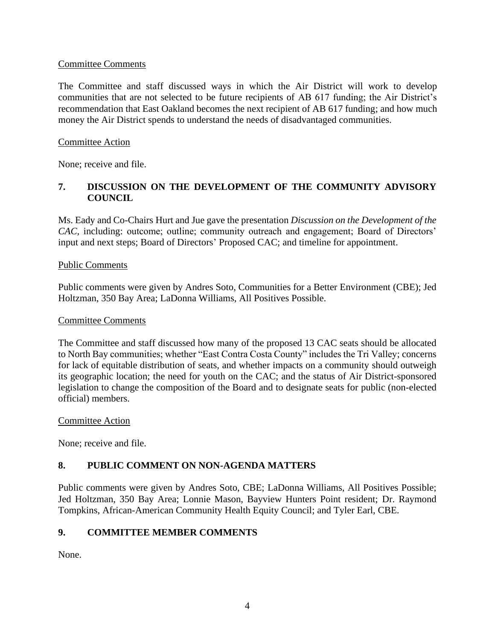## Committee Comments

The Committee and staff discussed ways in which the Air District will work to develop communities that are not selected to be future recipients of AB 617 funding; the Air District's recommendation that East Oakland becomes the next recipient of AB 617 funding; and how much money the Air District spends to understand the needs of disadvantaged communities.

## Committee Action

None; receive and file.

# **7. DISCUSSION ON THE DEVELOPMENT OF THE COMMUNITY ADVISORY COUNCIL**

Ms. Eady and Co-Chairs Hurt and Jue gave the presentation *Discussion on the Development of the CAC*, including: outcome; outline; community outreach and engagement; Board of Directors' input and next steps; Board of Directors' Proposed CAC; and timeline for appointment.

## Public Comments

Public comments were given by Andres Soto, Communities for a Better Environment (CBE); Jed Holtzman, 350 Bay Area; LaDonna Williams, All Positives Possible.

## Committee Comments

The Committee and staff discussed how many of the proposed 13 CAC seats should be allocated to North Bay communities; whether "East Contra Costa County" includes the Tri Valley; concerns for lack of equitable distribution of seats, and whether impacts on a community should outweigh its geographic location; the need for youth on the CAC; and the status of Air District-sponsored legislation to change the composition of the Board and to designate seats for public (non-elected official) members.

#### Committee Action

None; receive and file.

## **8. PUBLIC COMMENT ON NON-AGENDA MATTERS**

Public comments were given by Andres Soto, CBE; LaDonna Williams, All Positives Possible; Jed Holtzman, 350 Bay Area; Lonnie Mason, Bayview Hunters Point resident; Dr. Raymond Tompkins, African-American Community Health Equity Council; and Tyler Earl, CBE.

## **9. COMMITTEE MEMBER COMMENTS**

None.